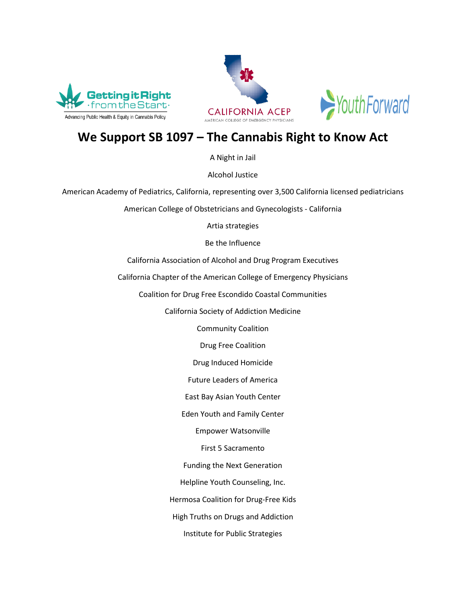





## **We Support SB 1097 – The Cannabis Right to Know Act**

A Night in Jail

Alcohol Justice

American Academy of Pediatrics, California, representing over 3,500 California licensed pediatricians

American College of Obstetricians and Gynecologists - California

Artia strategies

Be the Influence

California Association of Alcohol and Drug Program Executives

California Chapter of the American College of Emergency Physicians

Coalition for Drug Free Escondido Coastal Communities

California Society of Addiction Medicine

Community Coalition

Drug Free Coalition

Drug Induced Homicide

Future Leaders of America

East Bay Asian Youth Center

Eden Youth and Family Center

Empower Watsonville

First 5 Sacramento

Funding the Next Generation

Helpline Youth Counseling, Inc.

Hermosa Coalition for Drug-Free Kids

High Truths on Drugs and Addiction

Institute for Public Strategies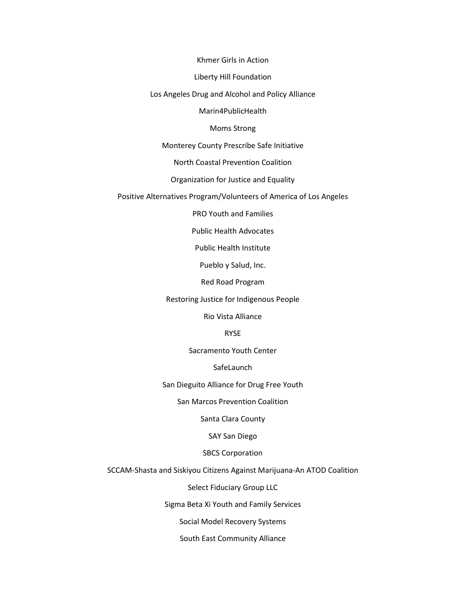Khmer Girls in Action

Liberty Hill Foundation

Los Angeles Drug and Alcohol and Policy Alliance

Marin4PublicHealth

Moms Strong

Monterey County Prescribe Safe Initiative

North Coastal Prevention Coalition

Organization for Justice and Equality

Positive Alternatives Program/Volunteers of America of Los Angeles

PRO Youth and Families

Public Health Advocates

Public Health Institute

Pueblo y Salud, Inc.

Red Road Program

Restoring Justice for Indigenous People

Rio Vista Alliance

RYSE

Sacramento Youth Center

**SafeLaunch** 

San Dieguito Alliance for Drug Free Youth

San Marcos Prevention Coalition

Santa Clara County

SAY San Diego

SBCS Corporation

SCCAM-Shasta and Siskiyou Citizens Against Marijuana-An ATOD Coalition

Select Fiduciary Group LLC

Sigma Beta Xi Youth and Family Services

Social Model Recovery Systems

South East Community Alliance